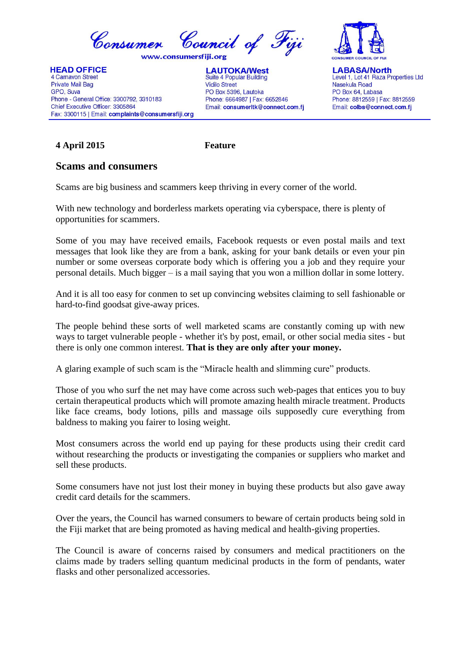

**HEAD OFFICE** 4 Carnavon Street Private Mail Bag GPO, Suva Phone - General Office: 3300792, 3310183 Chief Executive Officer: 3305864 Fax: 3300115 | Email: complaints@consumersfiji.org





**LABASA/North** Level 1, Lot 41 Raza Properties Ltd Nasekula Road PO Box 64 Labasa Phone: 8812559 | Fax: 8812559 Email: colbs@connect.com.fj

## **4 April 2015 Feature**

## **Scams and consumers**

Scams are big business and scammers keep thriving in every corner of the world.

With new technology and borderless markets operating via cyberspace, there is plenty of opportunities for scammers.

Some of you may have received emails, Facebook requests or even postal mails and text messages that look like they are from a bank, asking for your bank details or even your pin number or some overseas corporate body which is offering you a job and they require your personal details. Much bigger – is a mail saying that you won a million dollar in some lottery.

And it is all too easy for conmen to set up convincing websites claiming to sell fashionable or hard-to-find goodsat give-away prices.

The people behind these sorts of well marketed scams are constantly coming up with new ways to target vulnerable people - whether it's by post, email, or other social media sites - but there is only one common interest. **That is they are only after your money.**

A glaring example of such scam is the "Miracle health and slimming cure" products.

Those of you who surf the net may have come across such web-pages that entices you to buy certain therapeutical products which will promote amazing health miracle treatment. Products like face creams, body lotions, pills and massage oils supposedly cure everything from baldness to making you fairer to losing weight.

Most consumers across the world end up paying for these products using their credit card without researching the products or investigating the companies or suppliers who market and sell these products.

Some consumers have not just lost their money in buying these products but also gave away credit card details for the scammers.

Over the years, the Council has warned consumers to beware of certain products being sold in the Fiji market that are being promoted as having medical and health-giving properties.

The Council is aware of concerns raised by consumers and medical practitioners on the claims made by traders selling quantum medicinal products in the form of pendants, water flasks and other personalized accessories.